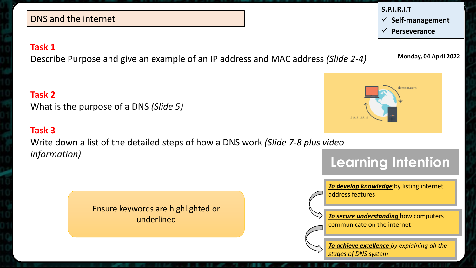#### DNS and the internet

#### **Task 1**

Describe Purpose and give an example of an IP address and MAC address *(Slide 2-4)*

**Task 2** What is the purpose of a DNS *(Slide 5)*

### **Task 3**

Write down a list of the detailed steps of how a DNS work *(Slide 7-8 plus video information)*

> Ensure keywords are highlighted or underlined

> > *To achieve excellence by explaining all the stages of DNS system*



**Monday, 04 April 2022**





*To develop knowledge* by listing internet address features

*To secure understanding* how computers communicate on the internet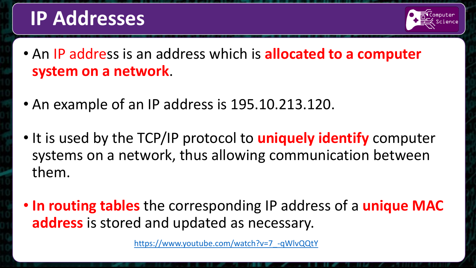### **IP Addresses**



- An IP address is an address which is **allocated to a computer system on a network**.
- An example of an IP address is 195.10.213.120.
- It is used by the TCP/IP protocol to **uniquely identify** computer systems on a network, thus allowing communication between them.
- **In routing tables** the corresponding IP address of a **unique MAC address** is stored and updated as necessary.

[https://www.youtube.com/watch?v=7\\_-qWlvQQtY](https://www.youtube.com/watch?v=7_-qWlvQQtY)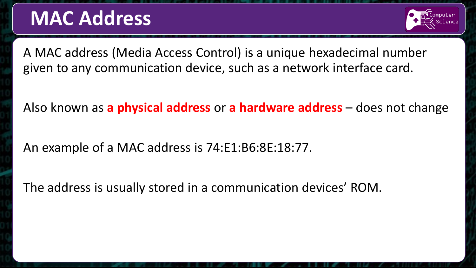### **MAC Address**



A MAC address (Media Access Control) is a unique hexadecimal number given to any communication device, such as a network interface card.

Also known as **a physical address** or **a hardware address** – does not change

An example of a MAC address is 74:E1:B6:8E:18:77.

The address is usually stored in a communication devices' ROM.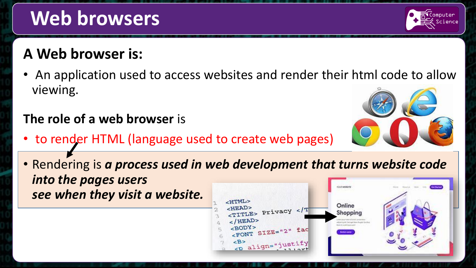# **Web browsers**

### **A Web browser is:**

• An application used to access websites and render their html code to allow viewing.

### **The role of a web browser** is

- to render HTML (language used to create web pages)
- Rendering is *a process used in web development that turns website code into the pages users*  COT whitem *see when they visit a website.*





omputer

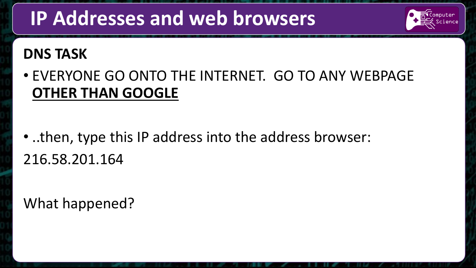## **IP Addresses and web browsers**



### **DNS TASK**

• EVERYONE GO ONTO THE INTERNET. GO TO ANY WEBPAGE **OTHER THAN GOOGLE**

• ..then, type this IP address into the address browser: 216.58.201.164

### What happened?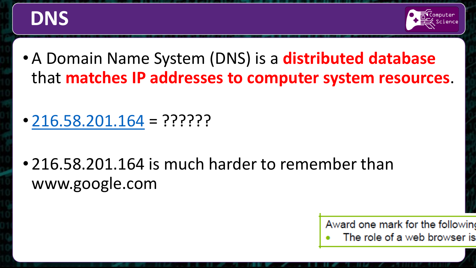



- A Domain Name System (DNS) is a **distributed database**  that **matches IP addresses to computer system resources**.
- $\cdot$  [216.58.201.164](http://www.google.com/) = ??????
- 216.58.201.164 is much harder to remember than www.google.com



The role of a web browser is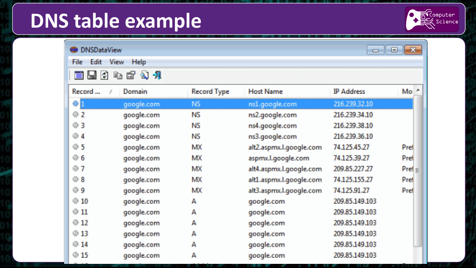## **DNS table example**



| $\parallel$ x.<br><b>DNSDataView</b><br><del>o l</del> o<br>Edit<br>View<br>Help<br>File<br>回<br>电窗引升<br>E<br>Ы |            |           |                         |                |          |        |            |                    |                  |                   |       |
|-----------------------------------------------------------------------------------------------------------------|------------|-----------|-------------------------|----------------|----------|--------|------------|--------------------|------------------|-------------------|-------|
|                                                                                                                 |            |           |                         |                |          | Record | Domain     | <b>Record Type</b> | <b>Host Name</b> | <b>IP Address</b> | $Mo*$ |
|                                                                                                                 |            |           |                         |                |          | 41     | google.com | <b>NS</b>          | ns1.google.com   | 216.239.32.10     |       |
| 2 <sup>o</sup>                                                                                                  | google.com | <b>NS</b> | ns2.google.com          | 216.239.34.10  |          |        |            |                    |                  |                   |       |
| @3                                                                                                              | google.com | <b>NS</b> | ns4.google.com          | 216.239.38.10  |          |        |            |                    |                  |                   |       |
| $\odot$ 4                                                                                                       | google.com | <b>NS</b> | ns3.google.com          | 216.239.36.10  |          |        |            |                    |                  |                   |       |
| $\odot$ 5                                                                                                       | google.com | MX        | alt2.aspmx.l.google.com | 74.125.45.27   | Pref     |        |            |                    |                  |                   |       |
| $\odot$ 6                                                                                                       | google.com | МX        | aspmx.l.google.com      | 74.125.39.27   | Pref     |        |            |                    |                  |                   |       |
| O <sub>T</sub>                                                                                                  | google.com | <b>MX</b> | alt4.aspmx.l.google.com | 209.85.227.27  | $Pref$ = |        |            |                    |                  |                   |       |
| ⊛ 8                                                                                                             | google.com | <b>MX</b> | alt1.aspmx.l.google.com | 74.125.155.27  | Pref     |        |            |                    |                  |                   |       |
| ⊙ 9                                                                                                             | google.com | <b>MX</b> | alt3.aspmx.l.google.com | 74.125.91.27   | Pref     |        |            |                    |                  |                   |       |
| $-10$                                                                                                           | google.com | A         | google.com              | 209.85.149.103 |          |        |            |                    |                  |                   |       |
| $-31$                                                                                                           | google.com | A         | google.com              | 209.85.149.103 |          |        |            |                    |                  |                   |       |
| 40,12                                                                                                           | google.com | A         | google.com              | 209.85.149.103 |          |        |            |                    |                  |                   |       |
| 313                                                                                                             | qoogle.com | А         | google.com              | 209.85.149.103 |          |        |            |                    |                  |                   |       |
| @14                                                                                                             | google.com | A         | google.com              | 209.85.149.103 |          |        |            |                    |                  |                   |       |
| $\otimes$ 15                                                                                                    | google.com | A         | google.com              | 209.85.149.103 |          |        |            |                    |                  |                   |       |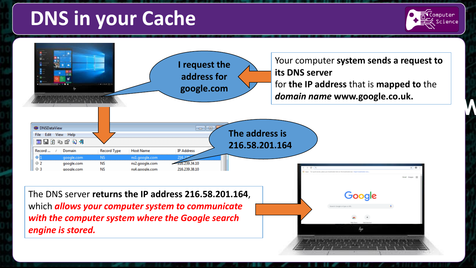## **DNS in your Cache**